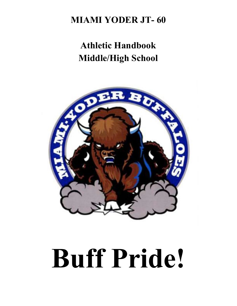# **MIAMI YODER JT-60**

# **Athletic Handbook Middle/High School**



# **Buff Pride!**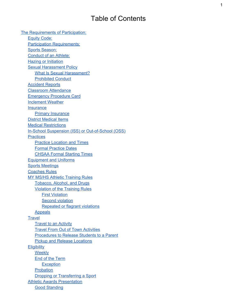# Table of Contents

[The Requirements of Participation:](#page-3-0) [Equity Code:](#page-3-1) **[Participation Requirements:](#page-3-2)** [Sports Season:](#page-3-3) [Conduct of an Athlete:](#page-4-0) **[Hazing or Initiation](#page-4-1)** [Sexual Harassment Policy](#page-4-2) [What Is Sexual Harassment?](#page-4-3) [Prohibited Conduct](#page-5-0) [Accident Reports](#page-5-1) [Classroom Attendance](#page-5-2) [Emergency Procedure Card](#page-5-3) **[Inclement Weather](#page-5-4) [Insurance](#page-6-0)** [Primary Insurance](#page-6-1) [District Medical Items](#page-6-2) [Medical Restrictions](#page-6-3) In-School Suspension (ISS) or Out-of-School (OSS) **[Practices](#page-7-1)** [Practice Location and Times](#page-7-2) [Formal Practice Da](#page-7-3)tes [CHSAA Formal Starting](#page-7-4) Times [Equipment and Uniforms](#page-7-5) [Sports Meetings](#page-8-0) [Coaches Rules](#page-8-1) [MY MS/HS Athletic Training](#page-8-2) Rules [Tobacco, Alcohol, and](#page-8-3) Drugs [Violation of the Training](#page-8-4) Rules [First Violation](#page-9-0) [Second violation](#page-9-1) [Repeated or flagrant](#page-9-2) violations [Ap](#page-9-3)peals **[Travel](#page-10-0)** [Travel to an Ac](#page-10-1)tivity **[Travel From Out of Town](#page-10-2) Activities** [Procedures to Release](#page-10-3) Students to a Parent [Pickup and Release Lo](#page-11-0)cations **[Eligibility](#page-11-1) [We](#page-11-2)ekly** [End of the Te](#page-11-3)rm **[Exception](#page-11-4)** [Pr](#page-11-5)obation **[Dropping or Transferring](#page-12-0) a Sport** [Athletic Awards Presentation](#page-12-1) [Good Standing](#page-12-2)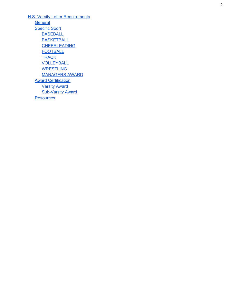[H.S. Varsity Letter Requireme](#page-12-3)nts **[Ge](#page-12-4)neral** [Specific Sp](#page-13-0)ort **[BASEBALL](#page-13-1) [BASKETBALL](#page-13-2) [CHEERLEADING](#page-13-3)** [FOOTBALL](#page-13-4) **[TRACK](#page-13-5)** [VOLLEYBALL](#page-13-6) **[WRESTLING](#page-13-7)** [MANAGERS AWA](#page-13-8) R D **[Award Ce](#page-13-9)rtification** [Varsity Aw](#page-13-10)ard **Sub-Varsity Award [Re](#page-13-12)sources**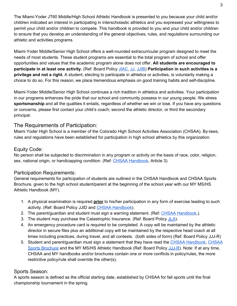The Miami-Yoder JT60 Middle/High School Athletic Handbook is presented to you because your child and/or children indicated an interest in participating in interscholastic athletics and you expressed your willingness to permit your child and/or children to compete. This handbook is provided to you and your child and/or children to ensure that you develop an understanding of the general objectives, rules, and regulations surrounding our athletic and activities programs.

Miami-Yoder Middle/Senior High School offers a well-rounded extracurricular program designed to meet the needs of most students. These student programs are essential to the total program of school and offer opportunities and values that the academic program alone does not offer. **All students are encouraged to participate in at least one activity.** (Ref: Board Policy [JIAC,](http://miamiyoder.com/wp-content/uploads/2014/07/JIAC.pdf) [JJ,](http://miamiyoder.com/wp-content/uploads/2014/07/JJ.pdf) [JJIB\)](http://miamiyoder.com/wp-content/uploads/2014/07/JJIB.pdf) **Participation in such activities is a privilege and not a right.** A student, electing to participate in athletics or activities, is voluntarily making a choice to do so. For this reason, we place tremendous emphasis on good training habits and self-discipline.

MiamiYoder Middle/Senior High School continues a rich tradition in athletics and activities. Your participation in our programs enhances the pride that our school and community possess in our young people. We stress **sportsmanship** and all the qualities it entails, regardless of whether we win or lose. If you have any questions or concerns, please first contact your child's coach; second the athletic director, or third the secondary principal.

# <span id="page-3-0"></span>The Requirements of Participation:

Miami Yoder High School is a member of the Colorado High School Activities Association (CHSAA). By-laws, rules and regulations have been established for participation in high school athletics by this organization.

# <span id="page-3-1"></span>Equity Code:

No person shall be subjected to discrimination in any program or activity on the basis of race, color, religion, sex, national origin, or handicapping condition. (Ref: [CHSAA Handbook](http://chsaanow.com/tools/bylaws/), Article 3)

# <span id="page-3-2"></span>Participation Requirements:

General requirements for participation of students are outlined in the CHSAA Handbook and CHSAA Sports Brochure, given to the high school student/parent at the beginning of the school year with our MY MS/HS Athletic Handbook (MY).

- 1. A physical examination is required **prior** to his/her participation in any form of exercise leading to such activity. (Ref: Board Policy JJID and [CHSAA Handbook\)](http://chsaanow.com/tools/bylaws/).
- 2. The parent/guardian and student must sign a warning statement. (Ref: CHSAA [Handbook,](http://chsaanow.com/tools/bylaws/)).
- 3. The student may purchase the Catastrophic Insurance. (Ref: Board Policy [JLA\)](http://miamiyoder.com/wp-content/uploads/2014/07/JLA.pdf).
- 4. An emergency procedure card is required to be completed. A copy will be maintained by the athletic director in secure files plus an additional copy will be maintained by the respective head coach at all times including practices, during travel, and all contests. (both sides of form) (Ref: Board Policy JJJ-R)
- 5. Student and parent/guardian must sign a statement that they have read the CHSAA [Handbook,](http://chsaanow.com/tools/bylaws/) [CHSAA](http://www2.chsaa.org/about/pdf/competitorsbrochure.pdf) [Sports Brochure](http://www2.chsaa.org/about/pdf/competitorsbrochure.pdf) and the MY MS/HS Athletic Handbook (Ref: Board Policy JJJ-R). Note: If at any time, CHSAA and MY handbooks and/or brochures contain one or more conflicts in policy/rules, the more restrictive policy/rule shall override the other(s).

# <span id="page-3-3"></span>Sports Season:

A sports season is defined as the official starting date, established by CHSAA for fall sports until the final championship tournament in the spring.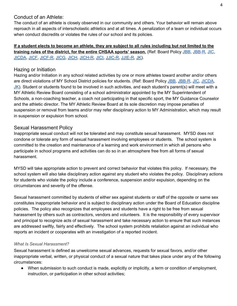# <span id="page-4-0"></span>Conduct of an Athlete:

The conduct of an athlete is closely observed in our community and others. Your behavior will remain above reproach in all aspects of interscholastic athletics and at all times. A penalization of a team or individual occurs when conduct discredits or violates the rules of our school and its policies.

**If a student elects to become an athlete, they are subject to all rules including but not limited to the training rules of the district, for the entire CHSAA sports' season.** (Ref: Board Policy [JBB,](http://miamiyoder.com/wp-content/uploads/2014/07/JBB.pdf) [JBBR](http://miamiyoder.com/wp-content/uploads/2014/07/JBB_R.pdf), [JIC,](http://miamiyoder.com/wp-content/uploads/2014/07/JIC.pdf) [JICDA,](http://miamiyoder.com/wp-content/uploads/2014/07/JICDA.pdf) [JICF,](http://miamiyoder.com/wp-content/uploads/2014/07/JICF.pdf) [JICFR,](http://miamiyoder.com/wp-content/uploads/2014/07/JICF_R.pdf) [JICG,](http://miamiyoder.com/wp-content/uploads/2014/07/JICG.pdf) [JICH,](http://miamiyoder.com/wp-content/uploads/2014/07/JICH.pdf) [JICHR,](http://miamiyoder.com/wp-content/uploads/2014/07/JICH_R.pdf) [JICI,](http://miamiyoder.com/wp-content/uploads/2014/07/JICI.pdf) [JJICR,](http://miamiyoder.com/wp-content/uploads/2014/07/JJIC_R.pdf) [JJIER,](http://miamiyoder.com/wp-content/uploads/2014/07/JJIE_R.pdf) [JK](http://miamiyoder.com/wp-content/uploads/2014/07/JK.pdf)).

# <span id="page-4-1"></span>Hazing or Initiation

Hazing and/or Initiation in any school related activities by one or more athletes toward another and/or others are direct violations of MY School District policies for students. (Ref: Board Policy [JBB,](http://miamiyoder.com/wp-content/uploads/2014/07/JBB.pdf) JBB-R, [JIC,](http://miamiyoder.com/wp-content/uploads/2014/07/JIC.pdf) [JICDA,](http://miamiyoder.com/wp-content/uploads/2014/07/JICDA.pdf) [JK\)](http://miamiyoder.com/wp-content/uploads/2014/07/JK.pdf). Student or students found to be involved in such activities, and each student's parent(s) will meet with a MY Athletic Review Board consisting of a school administrator appointed by the MY Superintendent of Schools, a non-coaching teacher, a coach not participating in that specific sport, the MY Guidance Counselor and the athletic director. The MY Athletic Review Board at its sole discretion may impose penalties of suspension or removal from teams and/or may refer disciplinary action to MY Administration, which may result in suspension or expulsion from school.

# <span id="page-4-2"></span>Sexual Harassment Policy

Inappropriate sexual conduct will not be tolerated and may constitute sexual harassment. MYSD does not condone or tolerate any form of sexual harassment involving employees or students. The school system is committed to the creation and maintenance of a learning and work environment in which all persons who participate in school programs and activities can do so in an atmosphere free from all forms of sexual harassment.

MYSD will take appropriate action to prevent and correct behavior that violates this policy. If necessary, the school system will also take disciplinary action against any student who violates the policy. Disciplinary actions for students who violate the policy include a conference, suspension and/or expulsion, depending on the circumstances and severity of the offense.

Sexual harassment committed by students of either sex against students or staff of the opposite or same sex constitutes inappropriate behavior and is subject to disciplinary action under the Board of Education discipline policies. The policy also recognizes that employees and students have a right to be free from sexual harassment by others such as contractors, vendors and volunteers. It is the responsibility of every supervisor and principal to recognize acts of sexual harassment and take necessary action to ensure that such instances are addressed swiftly, fairly and effectively. The school system prohibits retaliation against an individual who reports an incident or cooperates with an investigation of a reported incident.

#### <span id="page-4-3"></span>*What Is Sexual Harassment?*

Sexual harassment is defined as unwelcome sexual advances, requests for sexual favors, and/or other inappropriate verbal, written, or physical conduct of a sexual nature that takes place under any of the following circumstances:

● When submission to such conduct is made, explicitly or implicitly, a term or condition of employment, instruction, or participation in other school activities;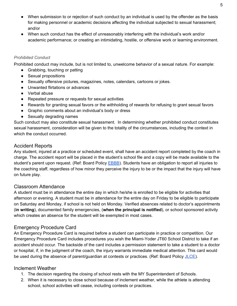- When submission to or rejection of such conduct by an individual is used by the offender as the basis for making personnel or academic decisions affecting the individual subjected to sexual harassment; and/or
- When such conduct has the effect of unreasonably interfering with the individual's work and/or academic performance; or creating an intimidating, hostile, or offensive work or learning environment.

# <span id="page-5-0"></span>*Prohibited Conduct*

Prohibited conduct may include, but is not limited to, unwelcome behavior of a sexual nature. For example:

- Grabbing, touching or patting
- Sexual propositions
- Sexually offensive pictures, magazines, notes, calendars, cartoons or jokes.
- Unwanted flirtations or advances
- Verbal abuse
- Repeated pressure or requests for sexual activities
- Rewards for granting sexual favors or the withholding of rewards for refusing to grant sexual favors
- Graphic comments about an individual's body or dress
- Sexually degrading names

Such conduct may also constitute sexual harassment. In determining whether prohibited conduct constitutes sexual harassment, consideration will be given to the totality of the circumstances, including the context in which the conduct occurred.

# <span id="page-5-1"></span>Accident Reports

Any student, injured at a practice or scheduled event, shall have an accident report completed by the coach in charge. The accident report will be placed in the student's school file and a copy will be made available to the student's parent upon request. (Ref: Board Policy [EBBB\)](http://miamiyoder.com/wp-content/uploads/2014/07/EBBB.pdf). Students have an obligation to report all injuries to the coaching staff, regardless of how minor they perceive the injury to be or the impact that the injury will have on future play.

# <span id="page-5-2"></span>Classroom Attendance

A student must be in attendance the entire day in which he/she is enrolled to be eligible for activities that afternoon or evening. A student must be in attendance for the entire day on Friday to be eligible to participate on Saturday and Monday, if school is not held on Monday. Verified absences related to doctor's appointments (**in writing**), documented family emergencies, (**when the principal is notified**) , or school sponsored activity which creates an absence for the student will be exempted in most cases.

# <span id="page-5-3"></span>Emergency Procedure Card

An Emergency Procedure Card is required before a student can participate in practice or competition. Our Emergency Procedure Card includes procedures you wish the Miami-Yoder JT60 School District to take if an accident should occur. The backside of the card includes a permission statement to take a student to a doctor or hospital, if, in the judgment of the coach, the injury warrants immediate medical attention. This card would be used during the absence of parent/guardian at contests or practices. (Ref: Board Policy [JLCE\)](http://miamiyoder.com/wp-content/uploads/2014/07/JLCE.pdf).

# <span id="page-5-4"></span>Inclement Weather

- 1. The decision regarding the closing of school rests with the MY Superintendent of Schools.
- 2. When it is necessary to close school because of inclement weather, while the athlete is attending school, school activities will cease, including contests or practices.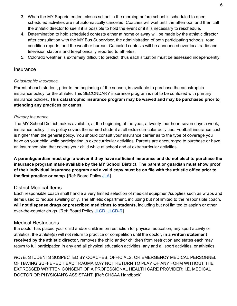- 3. When the MY Superintendent closes school in the morning before school is scheduled to open scheduled activities are not automatically canceled. Coaches will wait until the afternoon and then call the athletic director to see if it is possible to hold the event or if it is necessary to reschedule.
- 4. Determination to hold scheduled contests either at home or away will be made by the athletic director after consultation with the MY Bus Supervisor, the administration of both participating schools, road condition reports, and the weather bureau. Canceled contests will be announced over local radio and television stations and telephonically reported to athletes.
- 5. Colorado weather is extremely difficult to predict, thus each situation must be assessed independently.

# <span id="page-6-0"></span>**Insurance**

# *Catastrophic Insurance*

Parent of each student, prior to the beginning of the season, is available to purchase the catastrophic insurance policy for the athlete. This SECONDARY insurance program is not to be confused with primary insurance policies. **This catastrophic insurance program may be waived and may be purchased prior to attending any practices or camps**.

# <span id="page-6-1"></span>*Primary Insurance*

The MY School District makes available, at the beginning of the year, a twenty-four hour, seven days a week, insurance policy. This policy covers the named student at all extra-curricular activities. Football insurance cost is higher than the general policy. You should consult your insurance carrier as to the type of coverage you have on your child while participating in extracurricular activities. Parents are encouraged to purchase or have an insurance plan that covers your child while at school and at extracurricular activities.

**A parent/guardian must sign a waiver if they have sufficient insurance and do not elect to purchase the insurance program made available by the MY School District. The parent or guardian must show proof of their individual insurance program and a valid copy must be on file with the athletic office prior to the first practice or camp.** [Ref: Board Policy [JLA\]](http://miamiyoder.com/wp-content/uploads/2014/07/JLA.pdf).

# <span id="page-6-2"></span>District Medical Items

Each responsible coach shall handle a very limited selection of medical equipment/supplies such as wraps and items used to reduce swelling only. The athletic department, including but not limited to the responsible coach, **will not dispense drugs or prescribed medicines to students**, including but not limited to aspirin or other over-the-counter drugs. [Ref: Board Policy [JLCD,](http://miamiyoder.com/wp-content/uploads/2014/07/JLCD.pdf) JLCD-R]

# <span id="page-6-3"></span>Medical Restrictions

If a doctor has placed your child and/or children on restriction for physical education, any sport activity or athletics, the athlete(s) will not return to practice or competition until the doctor, **in a written statement received by the athletic director**, removes the child and/or children from restriction and states each may return to full participation in any and all physical education activities, any and all sport activities, or athletics.

*NOTE:* STUDENTS SUSPECTED BY COACHES, OFFICIALS, OR EMERGENCY MEDICAL PERSONNEL OF HAVING SUFFERED HEAD TRAUMA MAY NOT RETURN TO PLAY OF ANY FORM WITHOUT THE EXPRESSED WRITTEN CONSENT OF A PROFESSIONAL HEALTH CARE PROVIDER; I.E. MEDICAL DOCTOR OR PHYSICIAN'S ASSISTANT. [Ref: CHSAA Handbook]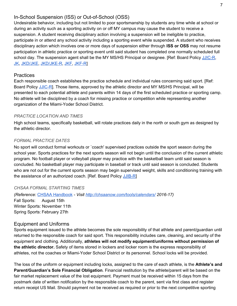# <span id="page-7-0"></span>In-School Suspension (ISS) or Out-of-School (OSS)

Undesirable behavior, including but not limited to poor sportsmanship by students any time while at school or during an activity such as a sporting activity on or off MY campus may cause the student to receive a suspension. A student receiving disciplinary action involving a suspension will be ineligible to practice, participate in or attend any school activity including a sporting event while suspended. A student who receives disciplinary action which involves one or more days of suspension either through **ISS or OSS** may not resume participation in athletic practice or sporting event until said student has completed one normally scheduled full school day. The suspension agent shall be the MY MS/HS Principal or designee. [Ref: Board Policy JJIC-R, [JK,](http://miamiyoder.com/wp-content/uploads/2014/07/JK.pdf) [JKD/JKE,](http://miamiyoder.com/wp-content/uploads/2014/07/JKD_JKE.pdf) JKD/JKE-R, [JKF,](http://miamiyoder.com/wp-content/uploads/2014/07/JKF.pdf) JKF-R]

# <span id="page-7-1"></span>**Practices**

Each responsible coach establishes the practice schedule and individual rules concerning said sport. [Ref: Board Policy JJIC-R]. Those items, approved by the athletic director and MY MS/HS Principal, will be presented to each potential athlete and parents within 14 days of the first scheduled practice or sporting camp. No athlete will be disciplined by a coach for missing practice or competition while representing another organization of the Miami-Yoder School District.

# <span id="page-7-2"></span>*PRACTICE LOCATION AND TIMES*

High school teams, specifically basketball, will rotate practices daily in the north or south gym as designed by the athletic director.

# <span id="page-7-3"></span>*FORMAL PRACTICE DATES*

No sport will conduct formal workouts or `coach' supervised practices outside the sport season during the school year. Sports practices for the next sports season will not begin until the conclusion of the current athletic program. No football player or volleyball player may practice with the basketball team until said season is concluded. No basketball player may participate in baseball or track until said season is concluded. Students who are not out for the current sports season may begin supervised weight, skills and conditioning training with the assistance of an authorized coach. [Ref. Board Policy JJIB-R]

# <span id="page-7-4"></span>*CHSAA FORMAL STARTING TIMES*

*(Reference:* [CHSAA Handbook](http://chsaanow.com/tools/bylaws/) *Visit <http://chsaanow.com/tools/calendars/> 201617)* Fall Sports: August 15th Winter Sports: November 11th Spring Sports: February 27th

# <span id="page-7-5"></span>Equipment and Uniforms

Sports equipment issued to the athlete becomes the sole responsibility of that athlete and parent/guardian until returned to the responsible coach for said sport. This responsibility includes care, cleaning, and security of the equipment and clothing. Additionally, **athletes will not modify equipment/uniforms without permission of the athletic director.** Safety of items stored in lockers and locker room is the express responsibility of athletes, not the coaches or Miami-Yoder School District or its personnel. School locks will be provided.

The loss of the uniform or equipment including locks, assigned to the care of each athlete, is the **Athlete's and Parent/Guardian's Sole Financial Obligation**. Financial restitution by the athlete/parent will be based on the fair market replacement value of the lost equipment. Payment must be received within 15 days from the postmark date of written notification by the responsible coach to the parent, sent via first class and register return receipt US Mail. Should payment not be received as required or prior to the next competitive sporting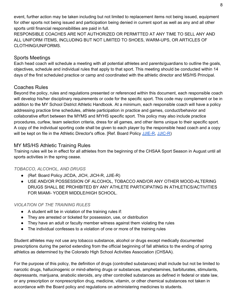event, further action may be taken including but not limited to replacement items not being issued, equipment for other sports not being issued and participation being denied in current sport as well as any and all other sports until financial responsibilities are paid in full.

RESPONSIBLE COACHES ARE NOT AUTHORIZED OR PERMITTED AT ANY TIME TO SELL ANY AND ALL UNIFORM ITEMS, INCLUDING BUT NOT LIMITED TO SHOES, WARM-UPS, OR ARTICLES OF CLOTHING/UNIFORMS.

# <span id="page-8-0"></span>Sports Meetings

Each head coach will schedule a meeting with all potential athletes and parents/guardians to outline the goals, objectives, schedule and individual rules that apply to that sport. This meeting should be conducted within 14 days of the first scheduled practice or camp and coordinated with the athletic director and MS/HS Principal.

# <span id="page-8-1"></span>Coaches Rules

Beyond the policy, rules and regulations presented or referenced within this document, each responsible coach will develop his/her disciplinary requirements or code for the specific sport. This code may complement or be in addition to the MY School District Athletic Handbook. At a minimum, each responsible coach will have a policy addressing practice time schedules, athlete participation in practice and games, conduct/behavior and collaborative effort between the MYMS and MYHS specific sport. This policy may also include practice procedures, curfew, team selection criteria, dress for all games, and other items unique to their specific sport. A copy of the individual sporting code shall be given to each player by the responsible head coach and a copy will be kept on file in the Athletic Director's office. [Ref. Board Policy JJIE-R, JJIC-R)

# <span id="page-8-2"></span>MY MS/HS Athletic Training Rules

Training rules will be in effect for all athletes from the beginning of the CHSAA Sport Season in August until all sports activities in the spring cease.

# <span id="page-8-3"></span>*TOBACCO, ALCOHOL, AND DRUGS*

- (Ref: Board Policy JICDA, JICH, JICH-R, JJIE-R)
- USE AND/OR POSSESSION OF ALCOHOL, TOBACCO AND/OR ANY OTHER MOOD-ALTERING DRUGS SHALL BE PROHIBITED BY ANY ATHLETE PARTICIPATING IN ATHLETICS/ACTIVITIES FOR MIAMI- YODER MIDDLE/HIGH SCHOOL.

# <span id="page-8-4"></span>*VIOLATION OF THE TRAINING RULES*

- A student will be in violation of the training rules if:
- They are arrested or ticketed for possession, use, or distribution
- They have an adult or faculty member witness against them violating the rules
- The individual confesses to a violation of one or more of the training rules

Student athletes may not use any tobacco substance, alcohol or drugs except medically documented prescriptions during the period extending from the official beginning of fall athletics to the ending of spring athletics as determined by the Colorado High School Activities Association (CHSAA).

For the purpose of this policy, the definition of drugs (controlled substances) shall include but not be limited to narcotic drugs, hallucinogenic or mind-altering drugs or substances, amphetamines, barbiturates, stimulants, depressants, marijuana, anabolic steroids, any other controlled substances as defined in federal or state law, or any prescription or nonprescription drug, medicine, vitamin, or other chemical substances not taken in accordance with the Board policy and regulations on administering medicines to students.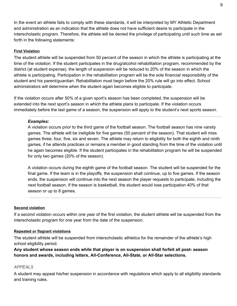In the event an athlete fails to comply with these standards, it will be interpreted by MY Athletic Department and administration as an indication that the athlete does not have sufficient desire to participate in the interscholastic program. Therefore, the athlete will be denied the privilege of participating until such time as set forth in the following statements:

#### <span id="page-9-0"></span>**First Violation**

The student athlete will be suspended from 50 percent of the season in which the athlete is participating at the time of the violation. If the student participates in the drug/alcohol rehabilitation program, recommended by the district (at student expense), the length of suspension will be reduced to 20% of the season in which the athlete is participating. Participation in the rehabilitation program will be the sole financial responsibility of the student and his parent/guardian. Rehabilitation must begin before the 20% rule will go into effect. School administrators will determine when the student again becomes eligible to participate.

If the violation occurs after 50% of a given sport's season has been completed, the suspension will be extended into the next sport's season in which the athlete plans to participate. If the violation occurs immediately before the last game of a season, the suspension will apply to the student's next sports season.

#### *Examples:*

A violation occurs prior to the third game of the football season. The football season has nine varsity games. The athlete will be ineligible for five games (50 percent of the season). That student will miss games three, four, five, six and seven. The athlete may return to eligibility for both the eighth and ninth games, if he attends practices or remains a member in good standing from the time of the violation until he again becomes eligible. If the student participates in the rehabilitation program he will be suspended for only two games (20% of the season).

A violation occurs during the eighth game of the football season. The student will be suspended for the final game. If the team is in the playoffs, the suspension shall continue, up to five games. If the season ends, the suspension will continue into the next season the player requests to participate, including the next football season. If the season is basketball, the student would lose participation 40% of that season or up to 8 games.

#### <span id="page-9-1"></span>**Second violation**

If a second violation occurs within one year of the first violation, the student athlete will be suspended from the interscholastic program for one year from the date of the suspension.

#### <span id="page-9-2"></span>**Repeated or flagrant violations**

The student athlete will be suspended from interscholastic athletics for the remainder of the athlete's high school eligibility period.

**Any student whose season ends while that player is on suspension shall forfeit all post season honors and awards, including letters, AllConference, AllState, or AllStar selections.**

#### <span id="page-9-3"></span>*APPEALS*

A student may appeal his/her suspension in accordance with regulations which apply to all eligibility standards and training rules.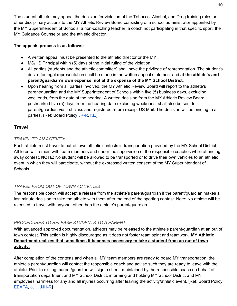The student athlete may appeal the decision for violation of the Tobacco, Alcohol, and Drug training rules or other disciplinary actions to the MY Athletic Review Board consisting of a school administrator appointed by the MY Superintendent of Schools, a noncoaching teacher, a coach not participating in that specific sport, the MY Guidance Counselor and the athletic director.

# **The appeals process is as follows:**

- A written appeal must be presented to the athletic director or the MY
- MS/HS Principal within (5) days of the initial ruling of the violation.
- All parties (students and the athletic committee) shall have the privilege of representation. The student's desire for legal representation shall be made in the written appeal statement and **at the athlete's and parent/guardian's own expense, not at the expense of the MY School District**.
- Upon hearing from all parties involved, the MY Athletic Review Board will report to the athlete's parent/guardian and the MY Superintendent of Schools within five (5) business days, excluding weekends, from the date of the hearing. A written decision from the MY Athletic Review Board, postmarked five (5) days from the hearing date excluding weekends, shall also be sent to parent/guardian via first class and registered return receipt US Mail. The decision will be binding to all parties. (Ref: Board Policy JK-R, [KE\)](http://miamiyoder.com/wp-content/uploads/2014/07/KE.pdf)

# <span id="page-10-1"></span><span id="page-10-0"></span>**Travel**

# *TRAVEL TO AN ACTIVITY*

Each athlete must travel to out-of town athletic contests in transportation provided by the MY School District. Athletes will remain with team members and under the supervision of the responsible coaches while attending away contest. **NOTE**: No student will be allowed to be transported or to drive their own vehicles to an athletic event in which they will participate, without the expressed written consent of the MY Superintendent of Schools.

# <span id="page-10-2"></span>*TRAVEL FROM OUT OF TOWN ACTIVITIES*

The responsible coach will accept a release from the athlete's parent/guardian if the parent/guardian makes a last minute decision to take the athlete with them after the end of the sporting contest. Note: No athlete will be released to travel with anyone, other than the athlete's parent/guardian.

# <span id="page-10-3"></span>*PROCEDURES TO RELEASE STUDENTS TO A PARENT*

With advanced approved documentation, athletes may be released to the athlete's parent/guardian at an out of town contest. This action is highly discouraged as it does not foster team spirit and teamwork. **MY Athletic Department realizes that sometimes it becomes necessary to take a student from an out of town activity.**

After completion of the contests and when all MY team members are ready to board MY transportation, the athlete's parent/guardian will contact the responsible coach and advise such they are ready to leave with the athlete. Prior to exiting, parent/guardian will sign a sheet, maintained by the responsible coach on behalf of transportation department and MY School District, informing and holding MY School District and MY employees harmless for any and all injuries occurring after leaving the activity/athletic event. [Ref: Board Policy [EEAFA,](http://miamiyoder.com/wp-content/uploads/2014/07/EEAFA.pdf) [JJH,](http://miamiyoder.com/wp-content/uploads/2014/07/JJH.pdf) JJH-R]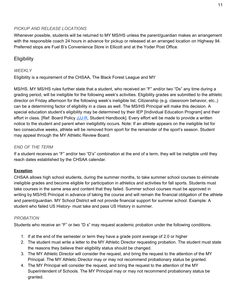# <span id="page-11-0"></span>*PICKUP AND RELEASE LOCATIONS*

Whenever possible, students will be returned to MY MS/HS unless the parent/guardian makes an arrangement with the responsible coach 24 hours in advance for pickup or released at an arranged location on Highway 94. Preferred stops are Fuel B's Convenience Store in Ellicott and at the Yoder Post Office.

# <span id="page-11-2"></span><span id="page-11-1"></span>**Eligibility**

# *WEEKLY*

Eligibility is a requirement of the CHSAA, The Black Forest League and MY

MS/HS. MY MS/HS rules further state that a student, who received an "F" and/or two "Ds" any time during a grading period, will be ineligible for the following week's activities. Eligibility grades are submitted to the athletic director on Friday afternoon for the following week's ineligible list. Citizenship (e.g. classroom behavior, etc.,) can be a determining factor of eligibility in a class as well. The MS/HS Principal will make this decision. A special education student's eligibility may be determined by their IEP [Individual Education Program] and their effort in class. [Ref: Board Policy JJJ-R, Student Handbook]. Every effort will be made to provide a written notice to the student and parent when ineligibility occurs. Note: If an athlete appears on the ineligible list for two consecutive weeks, athlete will be removed from sport for the remainder of the sport's season. Student may appeal through the MY Athletic Review Board.

# <span id="page-11-3"></span>*END OF THE TERM*

If a student receives an "F" and/or two "D's" combination at the end of a term, they will be ineligible until they reach dates established by the CHSAA calendar.

# <span id="page-11-4"></span>**Exception**

CHSAA allows high school students, during the summer months, to take summer school courses to eliminate ineligible grades and become eligible for participation in athletics and activities for fall sports. Students must take courses in the same area and content that they failed. Summer school courses must be approved in writing by MS/HS Principal in advance of taking the course and will remain the financial obligation of the athlete and parent/guardian. MY School District will not provide financial support for summer school. Example: A student who failed US History- must take and pass US History in summer.

# <span id="page-11-5"></span>*PROBATION*

Students who receive an "F" or two "D s" may request academic probation under the following conditions.

- 1. If at the end of the semester or term they have a grade point average of 2.0 or higher
- 2. The student must write a letter to the MY Athletic Director requesting probation. The student must state the reasons they believe their eligibility status should be changed.
- 3. The MY Athletic Director will consider the request, and bring the request to the attention of the MY Principal. The MY Athletic Director may or may not recommend probationary status be granted.
- 4. The MY Principal will consider the request, and bring the request to the attention of the MY Superintendent of Schools. The MY Principal may or may not recommend probationary status be granted.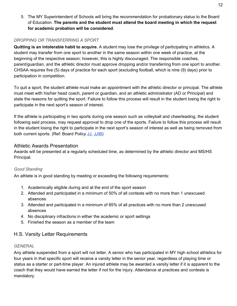5. The MY Superintendent of Schools will bring the recommendation for probationary status to the Board of Education. **The parents and the student must attend the board meeting in which the request for academic probation will be considered**.

# <span id="page-12-0"></span>*DROPPING OR TRANSFERRING A SPORT*

**Quitting is an intolerable habit to acquire.** A student may lose the privilege of participating in athletics. A student may transfer from one sport to another in the same season within one week of practice, at the beginning of the respective season; however, this is highly discouraged. The responsible coaches, parent/guardian, and the athletic director must approve dropping and/or transferring from one sport to another. CHSAA requires five (5) days of practice for each sport (excluding football, which is nine (9) days) prior to participation in competition.

To quit a sport, the student athlete must make an appointment with the athletic director or principal. The athlete must meet with his/her head coach, parent or guardian, and an athletic administrator (AD or Principal) and state the reasons for quitting the sport. Failure to follow this process will result in the student losing the right to participate in the next sport's season of interest.

If the athlete is participating in two sports during one season such as volleyball and cheerleading, the student following said process, may request approval to drop one of the sports. Failure to follow this process will result in the student losing the right to participate in the next sport's season of interest as well as being removed from both current sports. (Ref: Board Policy [JJ,](http://miamiyoder.com/wp-content/uploads/2014/07/JJ.pdf) [JJIB\)](http://miamiyoder.com/wp-content/uploads/2014/07/JJIB.pdf)

# <span id="page-12-1"></span>Athletic Awards Presentation

Awards will be presented at a regularly scheduled time, as determined by the athletic director and MS/HS Principal.

# <span id="page-12-2"></span>*Good Standing*

An athlete is in good standing by meeting or exceeding the following requirements:

- 1. Academically eligible during and at the end of the sport season
- 2. Attended and participated in a minimum of 50% of all contests with no more than 1 unexcused absences
- 3. Attended and participated in a minimum of 85% of all practices with no more than 2 unexcused absences
- 4. No disciplinary infractions in either the academic or sport settings
- 5. Finished the season as a member of the team

# <span id="page-12-4"></span><span id="page-12-3"></span>H.S. Varsity Letter Requirements

# *GENERAL*

Any athlete suspended from a sport will not letter. A senior who has participated in MY high school athletics for four years in that specific sport will receive a varsity letter in the senior year, regardless of playing time or status as a starter or part-time player. An injured athlete may be awarded a varsity letter if it is apparent to the coach that they would have earned the letter if not for the injury. Attendance at practices and contests is mandatory.